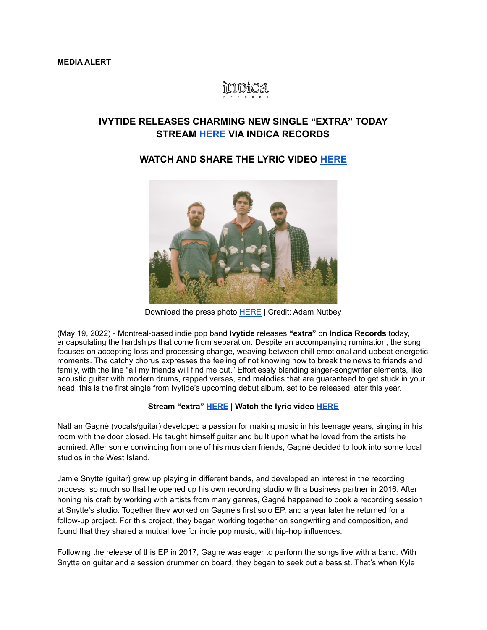

# **IVYTIDE RELEASES CHARMING NEW SINGLE "EXTRA" TODAY STREAM [HERE](https://ivytide.lnk.tt/extraPR) VIA INDICA RECORDS**

## **WATCH AND SHARE THE LYRIC VIDEO [HERE](https://youtu.be/XcOgL0htueg)**



Download the press photo [HERE](https://www.dropbox.com/s/bgh4nash7kz0zfm/Ivytide%20Press%20Photo%20May%202022.jpg?dl=0) | Credit: Adam Nutbey

(May 19, 2022) - Montreal-based indie pop band **Ivytide** releases **"extra"** on **Indica Records** today, encapsulating the hardships that come from separation. Despite an accompanying rumination, the song focuses on accepting loss and processing change, weaving between chill emotional and upbeat energetic moments. The catchy chorus expresses the feeling of not knowing how to break the news to friends and family, with the line "all my friends will find me out." Effortlessly blending singer-songwriter elements, like acoustic guitar with modern drums, rapped verses, and melodies that are guaranteed to get stuck in your head, this is the first single from Ivytide's upcoming debut album, set to be released later this year.

### **Stream "extra" [HERE](https://ivytide.lnk.tt/extraPR) | Watch the lyric video [HERE](https://youtu.be/XcOgL0htueg)**

Nathan Gagné (vocals/guitar) developed a passion for making music in his teenage years, singing in his room with the door closed. He taught himself guitar and built upon what he loved from the artists he admired. After some convincing from one of his musician friends, Gagné decided to look into some local studios in the West Island.

Jamie Snytte (guitar) grew up playing in different bands, and developed an interest in the recording process, so much so that he opened up his own recording studio with a business partner in 2016. After honing his craft by working with artists from many genres, Gagné happened to book a recording session at Snytte's studio. Together they worked on Gagné's first solo EP, and a year later he returned for a follow-up project. For this project, they began working together on songwriting and composition, and found that they shared a mutual love for indie pop music, with hip-hop influences.

Following the release of this EP in 2017, Gagné was eager to perform the songs live with a band. With Snytte on guitar and a session drummer on board, they began to seek out a bassist. That's when Kyle